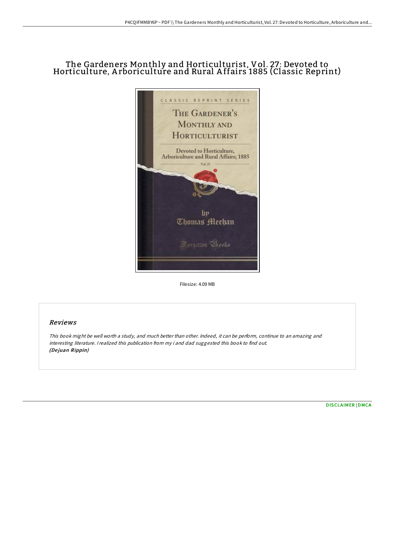# The Gardeners Monthly and Horticulturist, Vol. 27: Devoted to Horticulture, A rboriculture and Rural A ffairs 1885 (Classic Reprint)



Filesize: 4.09 MB

## Reviews

This book might be well worth <sup>a</sup> study, and much better than other. Indeed, it can be perform, continue to an amazing and interesting literature. <sup>I</sup> realized this publication from my i and dad suggested this book to find out. (De juan Rippin)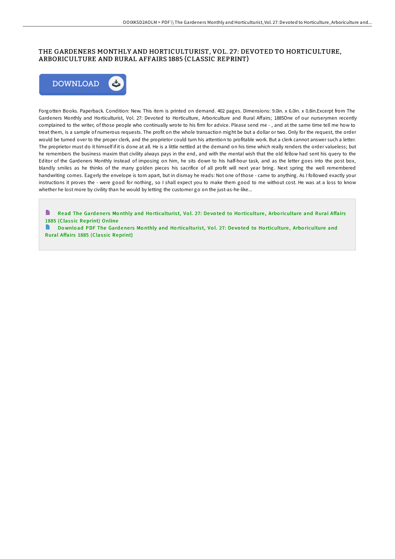## THE GARDENERS MONTHLY AND HORTICULTURIST, VOL. 27 : DEVOTED TO HORTICULTURE, ARBORICULTURE AND RURAL AFFAIRS 1885 (CLASSIC REPRINT)



Forgotten Books. Paperback. Condition: New. This item is printed on demand. 402 pages. Dimensions: 9.0in. x 6.0in. x 0.8in.Excerpt from The Gardeners Monthly and Horticulturist, Vol. 27: Devoted to Horticulture, Arboriculture and Rural Affairs; 1885One of our nurserymen recently complained to the writer, of those people who continually wrote to his firm for advice. Please send me - , and at the same time tell me how to treat them, is a sample of numerous requests. The profit on the whole transaction might be but a dollar or two. Only for the request, the order would be turned over to the proper clerk, and the proprietor could turn his attention to profitable work. But a clerk cannot answer such a letter. The proprietor must do it himself if it is done at all. He is a little nettled at the demand on his time which really renders the order valueless; but he remembers the business maxim that civility always pays in the end, and with the mental wish that the old fellow had sent his query to the Editor of the Gardeners Monthly instead of imposing on him, he sits down to his half-hour task, and as the letter goes into the post box, blandly smiles as he thinks of the many golden pieces his sacrifice of all profit will next year bring. Next spring the well remembered handwriting comes. Eagerly the envelope is torn apart, but in dismay he reads: Not one of those - came to anything. As I followed exactly your instructions it proves the - were good for nothing, so I shall expect you to make them good to me without cost. He was at a loss to know whether he lost more by civility than he would by letting the customer go on the just-as-he-like...

B Read The Gardeners Monthly and Ho[rticulturis](http://almighty24.tech/the-gardeners-monthly-and-horticulturist-vol-27-.html)t, Vol. 27: Devoted to Horticulture, Arboriculture and Rural Affairs 1885 (Classic Reprint) Online

Download PDF The Gardeners Monthly and Ho[rticulturis](http://almighty24.tech/the-gardeners-monthly-and-horticulturist-vol-27-.html)t, Vol. 27: Devoted to Horticulture, Arboriculture and Rural Affairs 1885 (Classic Reprint)